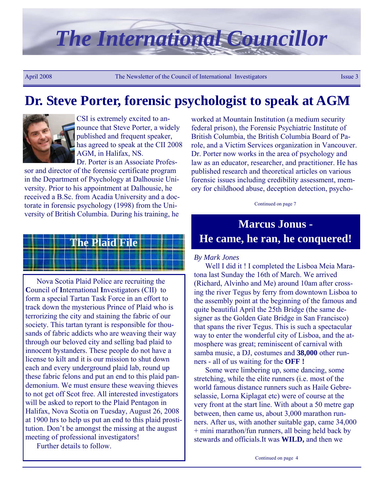# *The International Councillor*

April 2008 The Newsletter of the Council of International Investigators Issue 3

### **Dr. Steve Porter, forensic psychologist to speak at AGM**



CSI is extremely excited to announce that Steve Porter, a widely published and frequent speaker, has agreed to speak at the CII 2008 AGM, in Halifax, NS. Dr. Porter is an Associate Profes-

sor and director of the forensic certificate program in the Department of Psychology at Dalhousie University. Prior to his appointment at Dalhousie, he received a B.Sc. from Acadia University and a doctorate in forensic psychology (1998) from the University of British Columbia. During his training, he

# **The Plaid File**

Nova Scotia Plaid Police are recruiting the **C**ouncil of **I**nternational **I**nvestigators (CII) to form a special Tartan Task Force in an effort to track down the mysterious Prince of Plaid who is terrorizing the city and staining the fabric of our society. This tartan tyrant is responsible for thousands of fabric addicts who are weaving their way through our beloved city and selling bad plaid to innocent bystanders. These people do not have a license to kilt and it is our mission to shut down each and every underground plaid lab, round up these fabric felons and put an end to this plaid pandemonium. We must ensure these weaving thieves to not get off Scot free. All interested investigators will be asked to report to the Plaid Pentagon in Halifax, Nova Scotia on Tuesday, August 26, 2008 at 1900 hrs to help us put an end to this plaid prostitution. Don't be amongst the missing at the august meeting of professional investigators!

Further details to follow.

worked at Mountain Institution (a medium security federal prison), the Forensic Psychiatric Institute of British Columbia, the British Columbia Board of Parole, and a Victim Services organization in Vancouver. Dr. Porter now works in the area of psychology and law as an educator, researcher, and practitioner. He has published research and theoretical articles on various forensic issues including credibility assessment, memory for childhood abuse, deception detection, psycho-

Continued on page 7

### **Marcus Jonus - He came, he ran, he conquered!**

#### *By Mark Jones*

Well I did it ! I completed the Lisboa Meia Maratona last Sunday the 16th of March. We arrived (Richard, Alvinho and Me) around 10am after crossing the river Tegus by ferry from downtown Lisboa to the assembly point at the beginning of the famous and quite beautiful April the 25th Bridge (the same designer as the Golden Gate Bridge in San Francisco) that spans the river Tegus. This is such a spectacular way to enter the wonderful city of Lisboa, and the atmosphere was great; reminiscent of carnival with samba music, a DJ, costumes and **38,000** other runners - all of us waiting for the **OFF !**

Some were limbering up, some dancing, some stretching, while the elite runners (i.e. most of the world famous distance runners such as Haile Gebreselassie, Lorna Kiplagat etc) were of course at the very front at the start line. With about a 50 metre gap between, then came us, about 3,000 marathon runners. After us, with another suitable gap, came 34,000 + mini marathon/fun runners, all being held back by stewards and officials.It was **WILD,** and then we

Continued on page 4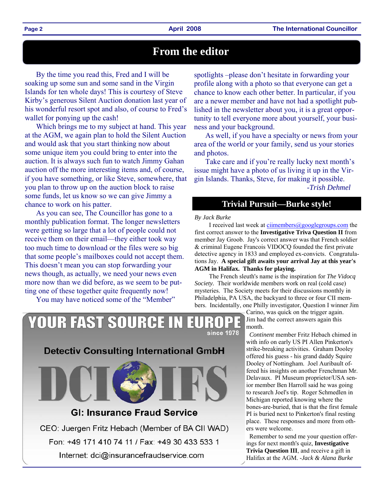### **From the editor**

By the time you read this, Fred and I will be soaking up some sun and some sand in the Virgin Islands for ten whole days! This is courtesy of Steve Kirby's generous Silent Auction donation last year of his wonderful resort spot and also, of course to Fred's wallet for ponying up the cash!

Which brings me to my subject at hand. This year at the AGM, we again plan to hold the Silent Auction and would ask that you start thinking now about some unique item you could bring to enter into the auction. It is always such fun to watch Jimmy Gahan auction off the more interesting items and, of course, if you have something, or like Steve, somewhere, that you plan to throw up on the auction block to raise some funds, let us know so we can give Jimmy a chance to work on his patter.

As you can see, The Councillor has gone to a monthly publication format. The longer newsletters were getting so large that a lot of people could not receive them on their email—they either took way too much time to download or the files were so big that some people's mailboxes could not accept them. This doesn't mean you can stop forwarding your news though, as actually, we need your news even more now than we did before, as we seem to be putting one of these together quite frequently now!

You may have noticed some of the "Member"

**YOUR FAST SOURCE IN** 

spotlights –please don't hesitate in forwarding your profile along with a photo so that everyone can get a chance to know each other better. In particular, if you are a newer member and have not had a spotlight published in the newsletter about you, it is a great opportunity to tell everyone more about yourself, your business and your background.

As well, if you have a specialty or news from your area of the world or your family, send us your stories and photos.

Take care and if you're really lucky next month's issue might have a photo of us living it up in the Virgin Islands. Thanks, Steve, for making it possible. *-Trish Dehmel*

### **Trivial Pursuit—Burke style!**

#### *By Jack Burke*

since 1978

I received last week at ciimembers@googlegroups.com the first correct answer to the **Investigative Triva Question II** from member Jay Groob. Jay's correct answer was that French soldier & criminal Eugene Francois VIDOCQ founded the first private detective agency in 1833 and employed ex-convicts. Congratulations Jay. **A special gift awaits your arrival Jay at this year's AGM in Halifax. Thanks for playing.**

 The French sleuth's name is the inspiration for *The Vidocq Society.* Their worldwide members work on real (cold case) mysteries. The Society meets for their discussions monthly in Philadelphia, PA USA, the backyard to three or four CII members. Incidentally, one Philly investigator, Question I winner Jim

> Carino, was quick on the trigger again. Jim had the correct answers again this month.

 *Continent* member Fritz Hebach chimed in with info on early US PI Allen Pinkerton's strike-breaking activities. Graham Dooley offered his guess - his grand daddy Squire Dooley of Nottingham. Joel Auribault offered his insights on another Frenchman Mr. Delavaux. PI Museum proprietor/USA senior member Ben Harroll said he was going to research Joel's tip. Roger Schmedlen in Michigan reported knowing where the bones-are-buried, that is that the first female PI is buried next to Pinkerton's final resting place. These responses and more from others were welcome.

 Remember to send me your question offerings for next month's quiz, **Investigative Trivia Question III**, and receive a gift in Halifax at the AGM. *-Jack & Alana Burke* 

### **Detectiv Consulting International GmbH**



### **GI: Insurance Fraud Service**

CEO: Juergen Fritz Hebach (Member of BA CII WAD)

Fon: +49 171 410 74 11 / Fax: +49 30 433 533 1

Internet: dci@insurancefraudservice.com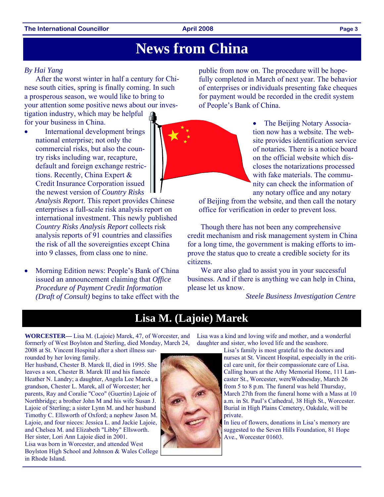#### **The International Councillor Contract Construction Construction April 2008 Page 3**

### **News from China**

#### *By Hai Yang*

After the worst winter in half a century for Chinese south cities, spring is finally coming. In such a prosperous season, we would like to bring to your attention some positive news about our inves-

tigation industry, which may be helpful for your business in China.

International development brings national enterprise; not only the commercial risks, but also the country risks including war, recapture, default and foreign exchange restrictions. Recently, China Expert & Credit Insurance Corporation issued the newest version of *Country Risks* 

*Analysis Report*. This report provides Chinese enterprises a full-scale risk analysis report on international investment. This newly published *Country Risks Analysis Report* collects risk analysis reports of 91 countries and classifies the risk of all the sovereignties except China into 9 classes, from class one to nine.

• Morning Edition news: People's Bank of China issued an announcement claiming that *Office Procedure of Payment Credit Information (Draft of Consult)* begins to take effect with the public from now on. The procedure will be hopefully completed in March of next year. The behavior of enterprises or individuals presenting fake cheques for payment would be recorded in the credit system of People's Bank of China.

> • The Beijing Notary Association now has a website. The website provides identification service of notaries. There is a notice board on the official website which discloses the notarizations processed with fake materials. The community can check the information of any notary office and any notary

of Beijing from the website, and then call the notary office for verification in order to prevent loss.

 Though there has not been any comprehensive credit mechanism and risk management system in China for a long time, the government is making efforts to improve the status quo to create a credible society for its citizens.

We are also glad to assist you in your successful business. And if there is anything we can help in China, please let us know.

*Steele Business Investigation Centre* 

### **Lisa M. (Lajoie) Marek**

**WORCESTER—** Lisa M. (Lajoie) Marek, 47, of Worcester, and formerly of West Boylston and Sterling, died Monday, March 24,

2008 at St. Vincent Hospital after a short illness surrounded by her loving family.

Her husband, Chester B. Marek II, died in 1995. She leaves a son, Chester B. Marek III and his fiancée Heather N. Landry; a daughter, Angela Lee Marek, a grandson, Chester L. Marek, all of Worcester; her parents, Ray and Coralie "Coco" (Guertin) Lajoie of Northbridge; a brother John M and his wife Susan J. Lajoie of Sterling; a sister Lynn M. and her husband Timothy C. Ellsworth of Oxford; a nephew Jason M. Lajoie, and four nieces: Jessica L. and Jackie Lajoie, and Chelsea M. and Elizabeth "Libby" Ellsworth. Her sister, Lori Ann Lajoie died in 2001. Lisa was born in Worcester, and attended West Boylston High School and Johnson & Wales College in Rhode Island.

Lisa was a kind and loving wife and mother, and a wonderful daughter and sister, who loved life and the seashore.

> Lisa's family is most grateful to the doctors and nurses at St. Vincent Hospital, especially in the critical care unit, for their compassionate care of Lisa. Calling hours at the Athy Memorial Home, 111 Lancaster St., Worcester, wereWednesday, March 26 from 5 to 8 p.m. The funeral was held Thursday, March 27th from the funeral home with a Mass at 10 a.m. in St. Paul's Cathedral, 38 High St., Worcester. Burial in High Plains Cemetery, Oakdale, will be private.

In lieu of flowers, donations in Lisa's memory are suggested to the Seven Hills Foundation, 81 Hope Ave., Worcester 01603.



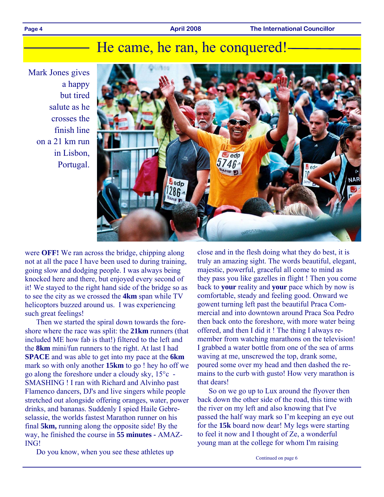#### Page 4 **April 2008 The International Councillor Page 4 April 2008 The International Councillor**

### He came, he ran, he conquered!

Mark Jones gives a happy but tired salute as he crosses the finish line on a 21 km run in Lisbon, Portugal.



were **OFF!** We ran across the bridge, chipping along not at all the pace I have been used to during training, going slow and dodging people. I was always being knocked here and there, but enjoyed every second of it! We stayed to the right hand side of the bridge so as to see the city as we crossed the **4km** span while TV helicoptors buzzed around us. I was experiencing such great feelings!

Then we started the spiral down towards the foreshore where the race was split: the **21km** runners (that included ME how fab is that!) filtered to the left and the **8km** mini/fun runners to the right. At last I had **SPACE** and was able to get into my pace at the **6km** mark so with only another **15km** to go ! hey ho off we go along the foreshore under a cloudy sky, 15°c - SMASHING ! I ran with Richard and Alvinho past Flamenco dancers, DJ's and live singers while people stretched out alongside offering oranges, water, power drinks, and bananas. Suddenly I spied Haile Gebreselassie, the worlds fastest Marathon runner on his final **5km,** running along the opposite side! By the way, he finished the course in **55 minutes -** AMAZ-ING!

Do you know, when you see these athletes up

close and in the flesh doing what they do best, it is truly an amazing sight. The words beautiful, elegant, majestic, powerful, graceful all come to mind as they pass you like gazelles in flight ! Then you come back to **your** reality and **your** pace which by now is comfortable, steady and feeling good. Onward we gowent turning left past the beautiful Praca Commercial and into downtown around Praca Soa Pedro then back onto the foreshore, with more water being offered, and then I did it ! The thing I always remember from watching marathons on the television! I grabbed a water bottle from one of the sea of arms waving at me, unscrewed the top, drank some, poured some over my head and then dashed the remains to the curb with gusto! How very marathon is that dears!

So on we go up to Lux around the flyover then back down the other side of the road, this time with the river on my left and also knowing that I've passed the half way mark so I'm keeping an eye out for the **15k** board now dear! My legs were starting to feel it now and I thought of Ze, a wonderful young man at the college for whom I'm raising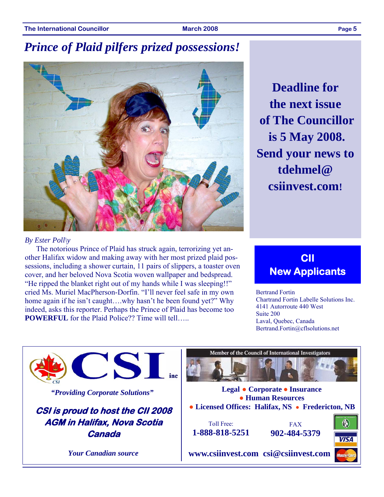### *Prince of Plaid pilfers prized possessions!*



**Deadline for the next issue of The Councillor is 5 May 2008. Send your news to tdehmel@ csiinvest.com!** 

#### *By Ester Poll\y*

The notorious Prince of Plaid has struck again, terrorizing yet another Halifax widow and making away with her most prized plaid possessions, including a shower curtain, 11 pairs of slippers, a toaster oven cover, and her beloved Nova Scotia woven wallpaper and bedspread. "He ripped the blanket right out of my hands while I was sleeping!!" cried Ms. Muriel MacPherson-Dorfin. "I'll never feel safe in my own home again if he isn't caught....why hasn't he been found yet?" Why indeed, asks this reporter. Perhaps the Prince of Plaid has become too **POWERFUL** for the Plaid Police?? Time will tell…..

### **CII New Applicants**

Bertrand Fortin Chartrand Fortin Labelle Solutions Inc. 4141 Autorroute 440 West Suite 200 Laval, Quebec, Canada Bertrand.Fortin@cflsolutions.net

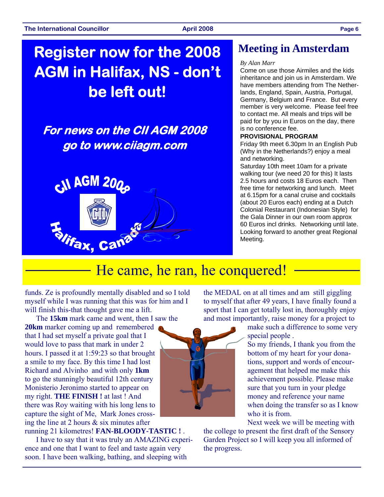## **Register now for the 2008 AGM in Halifax, NS - don't be left out!**

### **For news on the CII AGM 2008 go to www.ciiagm.com**



### **Meeting in Amsterdam**

#### *By Alan Marr*

Come on use those Airmiles and the kids inheritance and join us in Amsterdam. We have members attending from The Netherlands, England, Spain, Austria, Portugal, Germany, Belgium and France. But every member is very welcome. Please feel free to contact me. All meals and trips will be paid for by you in Euros on the day, there is no conference fee.

#### **PROVISIONAL PROGRAM**

Friday 9th meet 6.30pm In an English Pub (Why in the Netherlands?) enjoy a meal and networking.

Saturday 10th meet 10am for a private walking tour (we need 20 for this) It lasts 2.5 hours and costs 18 Euros each. Then free time for networking and lunch. Meet at 6.15pm for a canal cruise and cocktails (about 20 Euros each) ending at a Dutch Colonial Restaurant (Indonesian Style) for the Gala Dinner in our own room approx 60 Euros incl drinks. Networking until late. Looking forward to another great Regional Meeting.

### He came, he ran, he conquered!

funds. Ze is profoundly mentally disabled and so I told myself while I was running that this was for him and I will finish this-that thought gave me a lift.

The **15km** mark came and went, then I saw the **20km** marker coming up and remembered that I had set myself a private goal that I would love to pass that mark in under 2 hours. I passed it at 1:59:23 so that brought a smile to my face. By this time I had lost Richard and Alvinho and with only **1km** to go the stunningly beautiful 12th century Monisterio Jeronimo started to appear on my right. **THE FINISH !** at last ! And there was Roy waiting with his long lens to capture the sight of Me, Mark Jones crossing the line at 2 hours & six minutes after running 21 kilometres! **FAN-BLOODY-TASTIC !** .

I have to say that it was truly an AMAZING experience and one that I want to feel and taste again very soon. I have been walking, bathing, and sleeping with

the MEDAL on at all times and am still giggling to myself that after 49 years, I have finally found a sport that I can get totally lost in, thoroughly enjoy and most importantly, raise money for a project to

> make such a difference to some very special people .

So my friends, I thank you from the bottom of my heart for your donations, support and words of encouragement that helped me make this achievement possible. Please make sure that you turn in your pledge money and reference your name when doing the transfer so as I know who it is from.

Next week we will be meeting with

the college to present the first draft of the Sensory Garden Project so I will keep you all informed of the progress.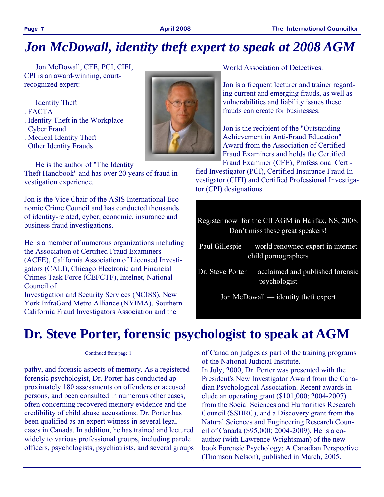### *Jon McDowall, identity theft expert to speak at 2008 AGM*

Jon McDowall, CFE, PCI, CIFI, CPI is an award-winning, courtrecognized expert:

Identity Theft

- . FACTA
- . Identity Theft in the Workplace
- . Cyber Fraud
- . Medical Identity Theft
- . Other Identity Frauds

He is the author of "The Identity

Theft Handbook" and has over 20 years of fraud investigation experience.

Jon is the Vice Chair of the ASIS International Economic Crime Council and has conducted thousands of identity-related, cyber, economic, insurance and business fraud investigations.

He is a member of numerous organizations including the Association of Certified Fraud Examiners (ACFE), California Association of Licensed Investigators (CALI), Chicago Electronic and Financial Crimes Task Force (CEFCTF), Intelnet, National Council of

Investigation and Security Services (NCISS), New York InfraGard Metro Alliance (NYIMA), Southern California Fraud Investigators Association and the

World Association of Detectives.

Jon is a frequent lecturer and trainer regarding current and emerging frauds, as well as vulnerabilities and liability issues these frauds can create for businesses.

Jon is the recipient of the "Outstanding Achievement in Anti-Fraud Education" Award from the Association of Certified Fraud Examiners and holds the Certified Fraud Examiner (CFE), Professional Certi-

fied Investigator (PCI), Certified Insurance Fraud Investigator (CIFI) and Certified Professional Investigator (CPI) designations.

- Register now for the CII AGM in Halifax, NS, 2008. Don't miss these great speakers!
- Paul Gillespie world renowned expert in internet child pornographers
- Dr. Steve Porter acclaimed and published forensic psychologist

Jon McDowall — identity theft expert

## **Dr. Steve Porter, forensic psychologist to speak at AGM**

#### Continued from page 1

pathy, and forensic aspects of memory. As a registered forensic psychologist, Dr. Porter has conducted approximately 180 assessments on offenders or accused persons, and been consulted in numerous other cases, often concerning recovered memory evidence and the credibility of child abuse accusations. Dr. Porter has been qualified as an expert witness in several legal cases in Canada. In addition, he has trained and lectured widely to various professional groups, including parole officers, psychologists, psychiatrists, and several groups of Canadian judges as part of the training programs of the National Judicial Institute.

In July, 2000, Dr. Porter was presented with the President's New Investigator Award from the Canadian Psychological Association. Recent awards include an operating grant (\$101,000; 2004-2007) from the Social Sciences and Humanities Research Council (SSHRC), and a Discovery grant from the Natural Sciences and Engineering Research Council of Canada (\$95,000; 2004-2009). He is a coauthor (with Lawrence Wrightsman) of the new book Forensic Psychology: A Canadian Perspective (Thomson Nelson), published in March, 2005.

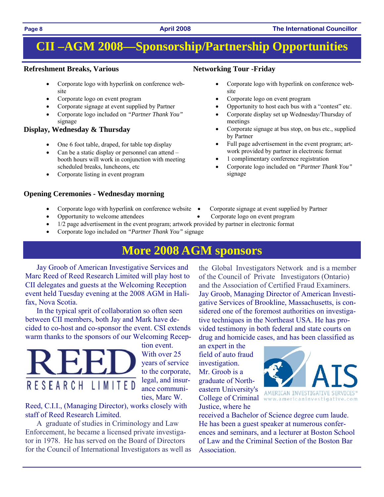### **CII –AGM 2008—Sponsorship/Partnership Opportunities**

#### **Refreshment Breaks, Various**

- Corporate logo with hyperlink on conference website
- Corporate logo on event program
- Corporate signage at event supplied by Partner
- Corporate logo included on *"Partner Thank You"*  signage

#### **Display, Wednesday & Thursday**

- One 6 foot table, draped, for table top display
- Can be a static display or personnel can attend  $$ booth hours will work in conjunction with meeting scheduled breaks, luncheons, etc
- Corporate listing in event program

#### **Opening Ceremonies - Wednesday morning**

- Corporate logo with hyperlink on conference website Corporate signage at event supplied by Partner
- 

#### **Networking Tour -Friday**

- Corporate logo with hyperlink on conference website
- Corporate logo on event program
- Opportunity to host each bus with a "contest" etc.
- Corporate display set up Wednesday/Thursday of meetings
- Corporate signage at bus stop, on bus etc., supplied by Partner
- Full page advertisement in the event program; artwork provided by partner in electronic format
- 1 complimentary conference registration
- Corporate logo included on *"Partner Thank You"*  signage
- 
- Opportunity to welcome attendees Corporate logo on event program
- 1/2 page advertisement in the event program; artwork provided by partner in electronic format
	- Corporate logo included on *"Partner Thank You"* signage

### **More 2008 AGM sponsors**

Jay Groob of American Investigative Services and Marc Reed of Reed Research Limited will play host to CII delegates and guests at the Welcoming Reception event held Tuesday evening at the 2008 AGM in Halifax, Nova Scotia.

In the typical sprit of collaboration so often seen between CII members, both Jay and Mark have decided to co-host and co-sponsor the event. CSI extends warm thanks to the sponsors of our Welcoming Recep-



tion event. With over 25 years of service to the corporate, legal, and insurance communities, Marc W.

Reed, C.I.I., (Managing Director), works closely with staff of Reed Research Limited.

A graduate of studies in Criminology and Law Enforcement, he became a licensed private investigator in 1978. He has served on the Board of Directors for the Council of International Investigators as well as

the Global Investigators Network and is a member of the Council of Private Investigators (Ontario) and the Association of Certified Fraud Examiners. Jay Groob, Managing Director of American Investigative Services of Brookline, Massachusetts, is considered one of the foremost authorities on investigative techniques in the Northeast USA. He has provided testimony in both federal and state courts on drug and homicide cases, and has been classified as

an expert in the field of auto fraud investigation. Mr. Groob is a graduate of Northeastern University's Justice, where he



received a Bachelor of Science degree cum laude. He has been a guest speaker at numerous conferences and seminars, and a lecturer at Boston School of Law and the Criminal Section of the Boston Bar Association.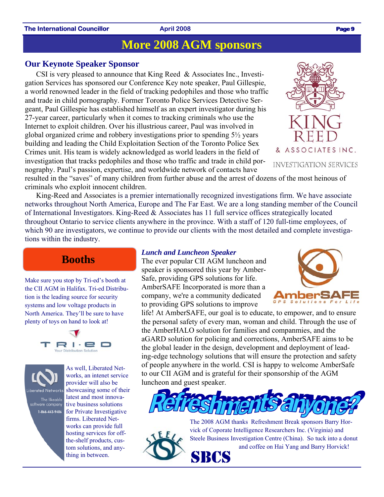#### **The International Councillor Case 2008 April 2008 Page 9 <b>Page 9 Page 9**

### **More 2008 AGM sponsors**

#### **Our Keynote Speaker Sponsor**

CSI is very pleased to announce that King Reed & Associates Inc., Investigation Services has sponsored our Conference Key note speaker, Paul Gillespie, a world renowned leader in the field of tracking pedophiles and those who traffic and trade in child pornography. Former Toronto Police Services Detective Sergeant, Paul Gillespie has established himself as an expert investigator during his 27-year career, particularly when it comes to tracking criminals who use the Internet to exploit children. Over his illustrious career, Paul was involved in global organized crime and robbery investigations prior to spending 5½ years building and leading the Child Exploitation Section of the Toronto Police Sex Crimes unit. His team is widely acknowledged as world leaders in the field of investigation that tracks pedophiles and those who traffic and trade in child pornography. Paul's passion, expertise, and worldwide network of contacts have

resulted in the "saves" of many children from further abuse and the arrest of dozens of the most heinous of criminals who exploit innocent children.

King-Reed and Associates is a premier internationally recognized investigations firm. We have associate networks throughout North America, Europe and The Far East. We are a long standing member of the Council of International Investigators. King-Reed & Associates has 11 full service offices strategically located throughout Ontario to service clients anywhere in the province. With a staff of 120 full-time employees, of which 90 are investigators, we continue to provide our clients with the most detailed and complete investigations within the industry.

### **Booths**

Make sure you stop by Tri-ed's booth at the CII AGM in Halifax. Tri-ed Distribution is the leading source for security systems and low voltage products in North America. They'll be sure to have plenty of toys on hand to look at!





As well, Liberated Networks, an intenet service provider will also be showcasing some of their latest and most innovative business solutions for Private Investigative firms. Liberated Networks can provide full hosting services for offthe-shelf products, custom solutions, and anything in between.

#### *Lunch and Luncheon Speaker*

The ever popular CII AGM luncheon and speaker is sponsored this year by Amber-Safe, providing GPS solutions for life. AmberSAFE Incorporated is more than a company, we're a community dedicated to providing GPS solutions to improve

life! At AmberSAFE, our goal is to educate, to empower, and to ensure the personal safety of every man, woman and child. Through the use of the AmberHALO solution for families and companmies, and the aGARD solution for policing and corrections, AmberSAFE aims to be the global leader in the design, development and deployment of leading-edge technology solutions that will ensure the protection and safety of people anywhere in the world. CSI is happy to welcome AmberSafe to our CII AGM and is grateful for their sponsorship of the AGM luncheon and guest speaker.



The 2008 AGM thanks Refreshment Break sponsors Barry Horvick of Coporate Intelligence Researchers Inc. (Virginia) and Steele Business Investigation Centre (China). So tuck into a donut and coffee on Hai Yang and Barry Horvick!



& ASSOCIATES INC.

INVESTIGATION SERVICES